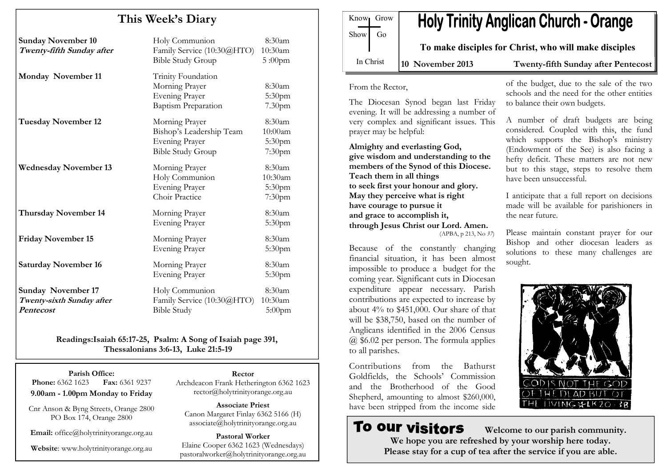# This Week's Diary

| <b>Sunday November 10</b><br>Twenty-fifth Sunday after              | Holy Communion<br>Family Service (10:30@HTO)<br><b>Bible Study Group</b>                        | 8:30am<br>10:30am<br>$5:00$ pm                       |
|---------------------------------------------------------------------|-------------------------------------------------------------------------------------------------|------------------------------------------------------|
| <b>Monday November 11</b>                                           | Trinity Foundation<br>Morning Prayer<br><b>Evening Prayer</b><br><b>Baptism Preparation</b>     | 8:30am<br>5:30pm<br>7.30 <sub>pm</sub>               |
| <b>Tuesday November 12</b>                                          | Morning Prayer<br>Bishop's Leadership Team<br><b>Evening Prayer</b><br><b>Bible Study Group</b> | 8:30am<br>10:00am<br>5:30pm<br>7:30 <sub>pm</sub>    |
| <b>Wednesday November 13</b>                                        | Morning Prayer<br>Holy Communion<br><b>Evening Prayer</b><br>Choir Practice                     | 8:30am<br>10:30am<br>5:30 <sub>pm</sub><br>$7:30$ pm |
| <b>Thursday November 14</b>                                         | Morning Prayer<br><b>Evening Prayer</b>                                                         | 8:30am<br>5:30pm                                     |
| <b>Friday November 15</b>                                           | Morning Prayer<br><b>Evening Prayer</b>                                                         | 8:30am<br>5:30pm                                     |
| <b>Saturday November 16</b>                                         | Morning Prayer<br><b>Evening Prayer</b>                                                         | 8:30am<br>5:30pm                                     |
| <b>Sunday November 17</b><br>Twenty-sixth Sunday after<br>Pentecost | Holy Communion<br>Family Service (10:30@HTO)<br><b>Bible Study</b>                              | 8:30am<br>10:30am<br>5:00pm                          |

Readings:Isaiah 65:17-25, Psalm: A Song of Isaiah page 391, Thessalonians 3:6-13, Luke 21:5-19

Parish Office: Fax: 6361 9237 **Phone:** 6362 1623 9.00am - 1.00pm Monday to Friday

Cnr Anson & Byng Streets, Orange 2800 PO Box 174, Orange 2800

Email: office@holytrinityorange.org.au

Website: www.holytrinityorange.org.au

Rector Archdeacon Frank Hetherington 6362 1623 rector@holytrinityorange.org.au

Associate Priest Canon Margaret Finlay 6362 5166 (H) associate@holytrinityorange.org.au

Pastoral Worker Elaine Cooper 6362 1623 (Wednesdays) pastoralworker@holytrinityorange.org.au

| Know <sub>l</sub> Grow | <b>Holy Trinity</b> |
|------------------------|---------------------|
| Show Go                |                     |
|                        | To make discipl     |
| In Christ              | $10$ November 2013  |

# **Anglican Church - Orange**

les for Christ, who will make disciples

Twenty-fifth Sunday after Pentecost

From the Rector,

The Diocesan Synod began last Friday evening. It will be addressing a number of very complex and significant issues. This prayer may be helpful:

Almighty and everlasting God, give wisdom and understanding to the members of the Synod of this Diocese. Teach them in all things to seek first your honour and glory. May they perceive what is right have courage to pursue it and grace to accomplish it, through Jesus Christ our Lord. Amen. (APBA, p 213, No 37)

Because of the constantly changing financial situation, it has been almost impossible to produce a budget for the coming year. Significant cuts in Diocesan expenditure appear necessary. Parish contributions are expected to increase by about 4% to \$451,000. Our share of that will be \$38,750, based on the number of Anglicans identified in the 2006 Census @ \$6.02 per person. The formula applies to all parishes.

Contributions from the Bathurst Goldfields, the Schools' Commission and the Brotherhood of the Good Shepherd, amounting to almost \$260,000, have been stripped from the income side

**To our visitors** 

of the budget, due to the sale of the two schools and the need for the other entities to balance their own budgets.

A number of draft budgets are being considered. Coupled with this, the fund which supports the Bishop's ministry (Endowment of the See) is also facing a hefty deficit. These matters are not new but to this stage, steps to resolve them have been unsuccessful.

I anticipate that a full report on decisions made will be available for parishioners in the near future.

Please maintain constant prayer for our Bishop and other diocesan leaders as solutions to these many challenges are sought.



 Welcome to our parish community. We hope you are refreshed by your worship here today. Please stay for a cup of tea after the service if you are able.